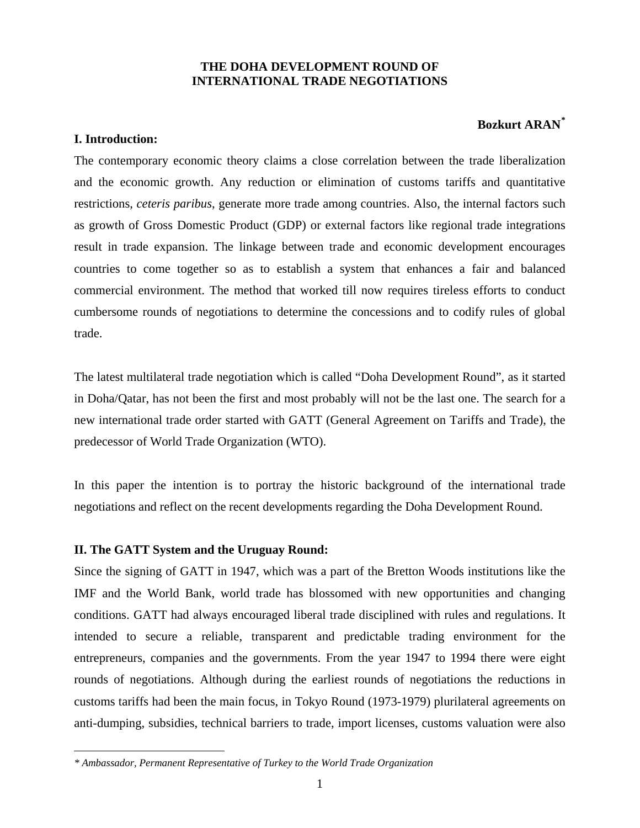# **THE DOHA DEVELOPMENT ROUND OF INTERNATIONAL TRADE NEGOTIATIONS**

# **Bozkurt ARAN[\\*](#page-0-0)**

# **I. Introduction:**

 $\overline{a}$ 

The contemporary economic theory claims a close correlation between the trade liberalization and the economic growth. Any reduction or elimination of customs tariffs and quantitative restrictions, *ceteris paribus*, generate more trade among countries. Also, the internal factors such as growth of Gross Domestic Product (GDP) or external factors like regional trade integrations result in trade expansion. The linkage between trade and economic development encourages countries to come together so as to establish a system that enhances a fair and balanced commercial environment. The method that worked till now requires tireless efforts to conduct cumbersome rounds of negotiations to determine the concessions and to codify rules of global trade.

The latest multilateral trade negotiation which is called "Doha Development Round", as it started in Doha/Qatar, has not been the first and most probably will not be the last one. The search for a new international trade order started with GATT (General Agreement on Tariffs and Trade), the predecessor of World Trade Organization (WTO).

In this paper the intention is to portray the historic background of the international trade negotiations and reflect on the recent developments regarding the Doha Development Round.

# **II. The GATT System and the Uruguay Round:**

Since the signing of GATT in 1947, which was a part of the Bretton Woods institutions like the IMF and the World Bank, world trade has blossomed with new opportunities and changing conditions. GATT had always encouraged liberal trade disciplined with rules and regulations. It intended to secure a reliable, transparent and predictable trading environment for the entrepreneurs, companies and the governments. From the year 1947 to 1994 there were eight rounds of negotiations. Although during the earliest rounds of negotiations the reductions in customs tariffs had been the main focus, in Tokyo Round (1973-1979) plurilateral agreements on anti-dumping, subsidies, technical barriers to trade, import licenses, customs valuation were also

<span id="page-0-0"></span>*<sup>\*</sup> Ambassador, Permanent Representative of Turkey to the World Trade Organization*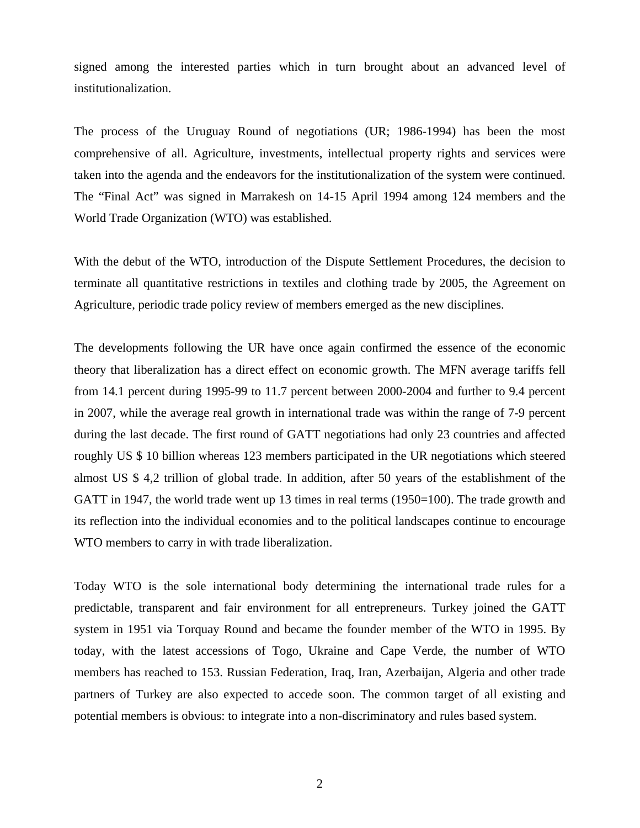signed among the interested parties which in turn brought about an advanced level of institutionalization.

The process of the Uruguay Round of negotiations (UR; 1986-1994) has been the most comprehensive of all. Agriculture, investments, intellectual property rights and services were taken into the agenda and the endeavors for the institutionalization of the system were continued. The "Final Act" was signed in Marrakesh on 14-15 April 1994 among 124 members and the World Trade Organization (WTO) was established.

With the debut of the WTO, introduction of the Dispute Settlement Procedures, the decision to terminate all quantitative restrictions in textiles and clothing trade by 2005, the Agreement on Agriculture, periodic trade policy review of members emerged as the new disciplines.

The developments following the UR have once again confirmed the essence of the economic theory that liberalization has a direct effect on economic growth. The MFN average tariffs fell from 14.1 percent during 1995-99 to 11.7 percent between 2000-2004 and further to 9.4 percent in 2007, while the average real growth in international trade was within the range of 7-9 percent during the last decade. The first round of GATT negotiations had only 23 countries and affected roughly US \$ 10 billion whereas 123 members participated in the UR negotiations which steered almost US \$ 4,2 trillion of global trade. In addition, after 50 years of the establishment of the GATT in 1947, the world trade went up 13 times in real terms (1950=100). The trade growth and its reflection into the individual economies and to the political landscapes continue to encourage WTO members to carry in with trade liberalization.

Today WTO is the sole international body determining the international trade rules for a predictable, transparent and fair environment for all entrepreneurs. Turkey joined the GATT system in 1951 via Torquay Round and became the founder member of the WTO in 1995. By today, with the latest accessions of Togo, Ukraine and Cape Verde, the number of WTO members has reached to 153. Russian Federation, Iraq, Iran, Azerbaijan, Algeria and other trade partners of Turkey are also expected to accede soon. The common target of all existing and potential members is obvious: to integrate into a non-discriminatory and rules based system.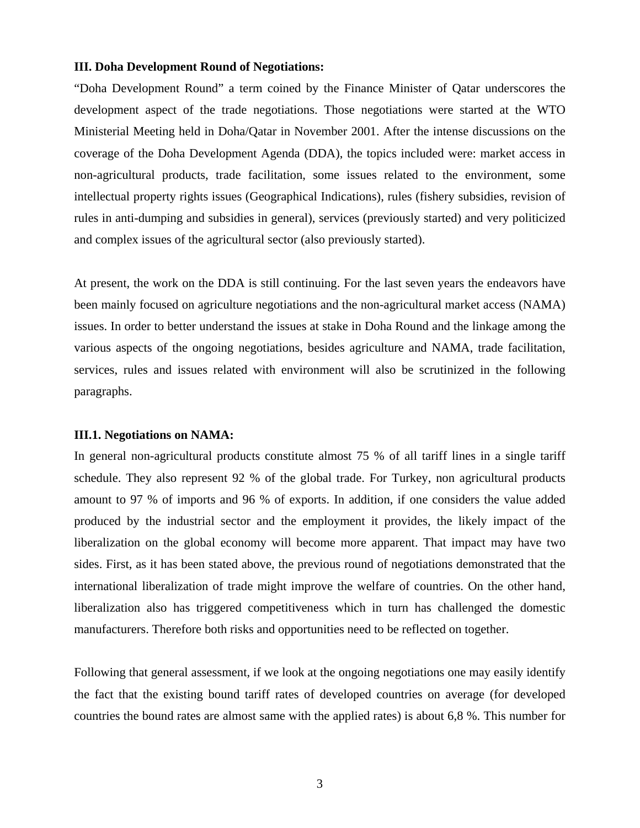#### **III. Doha Development Round of Negotiations:**

"Doha Development Round" a term coined by the Finance Minister of Qatar underscores the development aspect of the trade negotiations. Those negotiations were started at the WTO Ministerial Meeting held in Doha/Qatar in November 2001. After the intense discussions on the coverage of the Doha Development Agenda (DDA), the topics included were: market access in non-agricultural products, trade facilitation, some issues related to the environment, some intellectual property rights issues (Geographical Indications), rules (fishery subsidies, revision of rules in anti-dumping and subsidies in general), services (previously started) and very politicized and complex issues of the agricultural sector (also previously started).

At present, the work on the DDA is still continuing. For the last seven years the endeavors have been mainly focused on agriculture negotiations and the non-agricultural market access (NAMA) issues. In order to better understand the issues at stake in Doha Round and the linkage among the various aspects of the ongoing negotiations, besides agriculture and NAMA, trade facilitation, services, rules and issues related with environment will also be scrutinized in the following paragraphs.

#### **III.1. Negotiations on NAMA:**

In general non-agricultural products constitute almost 75 % of all tariff lines in a single tariff schedule. They also represent 92 % of the global trade. For Turkey, non agricultural products amount to 97 % of imports and 96 % of exports. In addition, if one considers the value added produced by the industrial sector and the employment it provides, the likely impact of the liberalization on the global economy will become more apparent. That impact may have two sides. First, as it has been stated above, the previous round of negotiations demonstrated that the international liberalization of trade might improve the welfare of countries. On the other hand, liberalization also has triggered competitiveness which in turn has challenged the domestic manufacturers. Therefore both risks and opportunities need to be reflected on together.

Following that general assessment, if we look at the ongoing negotiations one may easily identify the fact that the existing bound tariff rates of developed countries on average (for developed countries the bound rates are almost same with the applied rates) is about 6,8 %. This number for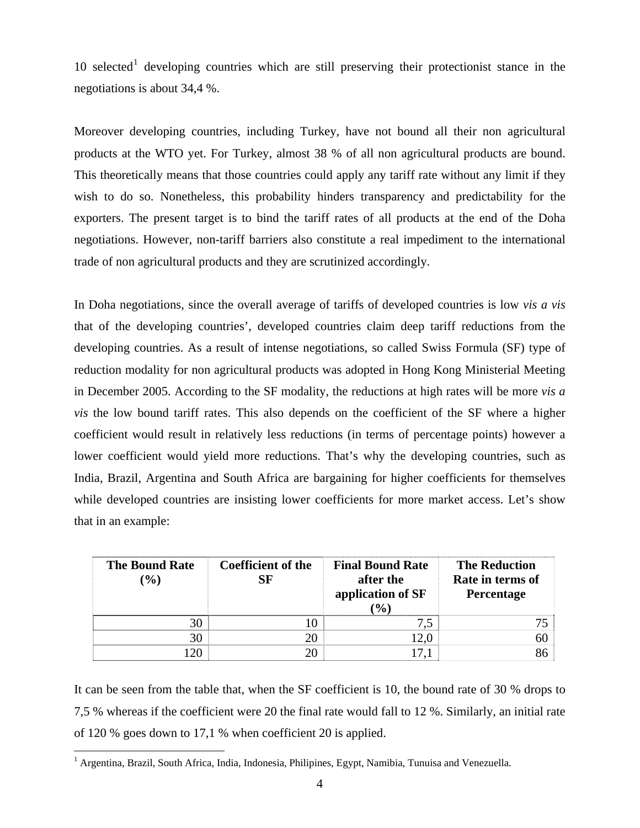[1](#page-3-0)0 selected<sup>1</sup> developing countries which are still preserving their protectionist stance in the negotiations is about 34,4 %.

Moreover developing countries, including Turkey, have not bound all their non agricultural products at the WTO yet. For Turkey, almost 38 % of all non agricultural products are bound. This theoretically means that those countries could apply any tariff rate without any limit if they wish to do so. Nonetheless, this probability hinders transparency and predictability for the exporters. The present target is to bind the tariff rates of all products at the end of the Doha negotiations. However, non-tariff barriers also constitute a real impediment to the international trade of non agricultural products and they are scrutinized accordingly.

In Doha negotiations, since the overall average of tariffs of developed countries is low *vis a vis* that of the developing countries', developed countries claim deep tariff reductions from the developing countries. As a result of intense negotiations, so called Swiss Formula (SF) type of reduction modality for non agricultural products was adopted in Hong Kong Ministerial Meeting in December 2005. According to the SF modality, the reductions at high rates will be more *vis a vis* the low bound tariff rates. This also depends on the coefficient of the SF where a higher coefficient would result in relatively less reductions (in terms of percentage points) however a lower coefficient would yield more reductions. That's why the developing countries, such as India, Brazil, Argentina and South Africa are bargaining for higher coefficients for themselves while developed countries are insisting lower coefficients for more market access. Let's show that in an example:

| <b>The Bound Rate</b><br>$\binom{0}{0}$ | <b>Coefficient of the</b><br>SF | <b>Final Bound Rate</b><br>after the<br>application of SF<br>$\mathcal{O}(6)$ | <b>The Reduction</b><br>Rate in terms of<br>Percentage |
|-----------------------------------------|---------------------------------|-------------------------------------------------------------------------------|--------------------------------------------------------|
|                                         |                                 |                                                                               |                                                        |
| 30                                      |                                 |                                                                               | 60                                                     |
| 20                                      |                                 |                                                                               |                                                        |

It can be seen from the table that, when the SF coefficient is 10, the bound rate of 30 % drops to 7,5 % whereas if the coefficient were 20 the final rate would fall to 12 %. Similarly, an initial rate of 120 % goes down to 17,1 % when coefficient 20 is applied.

 $\overline{a}$ 

<span id="page-3-0"></span><sup>&</sup>lt;sup>1</sup> Argentina, Brazil, South Africa, India, Indonesia, Philipines, Egypt, Namibia, Tunuisa and Venezuella.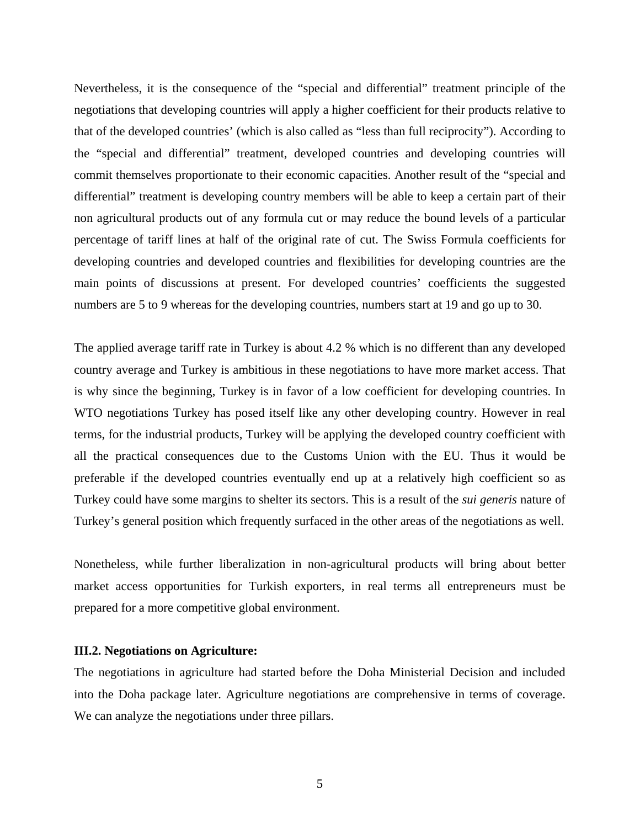Nevertheless, it is the consequence of the "special and differential" treatment principle of the negotiations that developing countries will apply a higher coefficient for their products relative to that of the developed countries' (which is also called as "less than full reciprocity"). According to the "special and differential" treatment, developed countries and developing countries will commit themselves proportionate to their economic capacities. Another result of the "special and differential" treatment is developing country members will be able to keep a certain part of their non agricultural products out of any formula cut or may reduce the bound levels of a particular percentage of tariff lines at half of the original rate of cut. The Swiss Formula coefficients for developing countries and developed countries and flexibilities for developing countries are the main points of discussions at present. For developed countries' coefficients the suggested numbers are 5 to 9 whereas for the developing countries, numbers start at 19 and go up to 30.

The applied average tariff rate in Turkey is about 4.2 % which is no different than any developed country average and Turkey is ambitious in these negotiations to have more market access. That is why since the beginning, Turkey is in favor of a low coefficient for developing countries. In WTO negotiations Turkey has posed itself like any other developing country. However in real terms, for the industrial products, Turkey will be applying the developed country coefficient with all the practical consequences due to the Customs Union with the EU. Thus it would be preferable if the developed countries eventually end up at a relatively high coefficient so as Turkey could have some margins to shelter its sectors. This is a result of the *sui generis* nature of Turkey's general position which frequently surfaced in the other areas of the negotiations as well.

Nonetheless, while further liberalization in non-agricultural products will bring about better market access opportunities for Turkish exporters, in real terms all entrepreneurs must be prepared for a more competitive global environment.

## **III.2. Negotiations on Agriculture:**

The negotiations in agriculture had started before the Doha Ministerial Decision and included into the Doha package later. Agriculture negotiations are comprehensive in terms of coverage. We can analyze the negotiations under three pillars.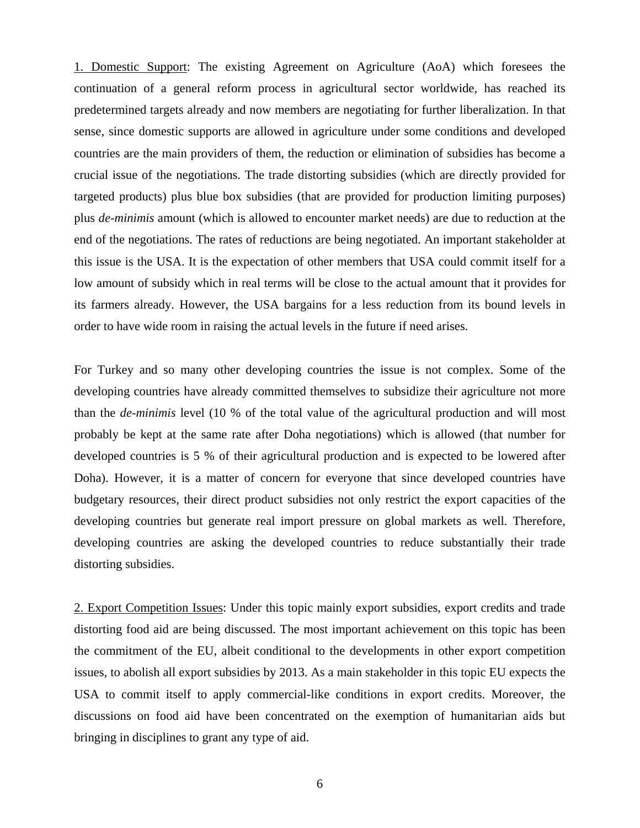1. Domestic Support: The existing Agreement on Agriculture (AoA) which foresees the continuation of a general reform process in agricultural sector worldwide, has reached its predetermined targets already and now members are negotiating for further liberalization. In that sense, since domestic supports are allowed in agriculture under some conditions and developed countries are the main providers of them, the reduction or elimination of subsidies has become a crucial issue of the negotiations. The trade distorting subsidies (which are directly provided for targeted products) plus blue box subsidies (that are provided for production limiting purposes) plus *de-minimis* amount (which is allowed to encounter market needs) are due to reduction at the end of the negotiations. The rates of reductions are being negotiated. An important stakeholder at this issue is the USA. It is the expectation of other members that USA could commit itself for a low amount of subsidy which in real terms will be close to the actual amount that it provides for its farmers already. However, the USA bargains for a less reduction from its bound levels in order to have wide room in raising the actual levels in the future if need arises.

For Turkey and so many other developing countries the issue is not complex. Some of the developing countries have already committed themselves to subsidize their agriculture not more than the *de-minimis* level (10 % of the total value of the agricultural production and will most probably be kept at the same rate after Doha negotiations) which is allowed (that number for developed countries is 5 % of their agricultural production and is expected to be lowered after Doha). However, it is a matter of concern for everyone that since developed countries have budgetary resources, their direct product subsidies not only restrict the export capacities of the developing countries but generate real import pressure on global markets as well. Therefore, developing countries are asking the developed countries to reduce substantially their trade distorting subsidies.

2. Export Competition Issues: Under this topic mainly export subsidies, export credits and trade distorting food aid are being discussed. The most important achievement on this topic has been the commitment of the EU, albeit conditional to the developments in other export competition issues, to abolish all export subsidies by 2013. As a main stakeholder in this topic EU expects the USA to commit itself to apply commercial-like conditions in export credits. Moreover, the discussions on food aid have been concentrated on the exemption of humanitarian aids but bringing in disciplines to grant any type of aid.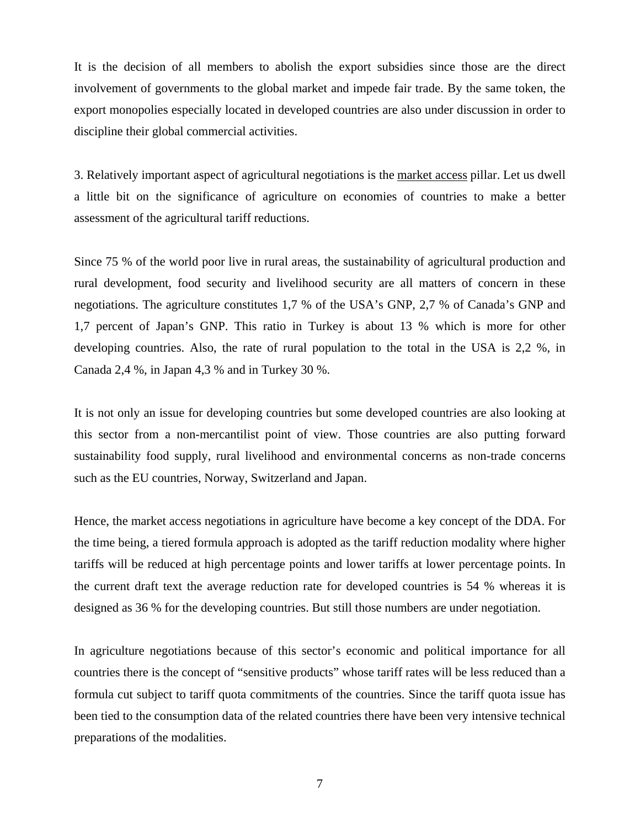It is the decision of all members to abolish the export subsidies since those are the direct involvement of governments to the global market and impede fair trade. By the same token, the export monopolies especially located in developed countries are also under discussion in order to discipline their global commercial activities.

3. Relatively important aspect of agricultural negotiations is the market access pillar. Let us dwell a little bit on the significance of agriculture on economies of countries to make a better assessment of the agricultural tariff reductions.

Since 75 % of the world poor live in rural areas, the sustainability of agricultural production and rural development, food security and livelihood security are all matters of concern in these negotiations. The agriculture constitutes 1,7 % of the USA's GNP, 2,7 % of Canada's GNP and 1,7 percent of Japan's GNP. This ratio in Turkey is about 13 % which is more for other developing countries. Also, the rate of rural population to the total in the USA is 2,2 %, in Canada 2,4 %, in Japan 4,3 % and in Turkey 30 %.

It is not only an issue for developing countries but some developed countries are also looking at this sector from a non-mercantilist point of view. Those countries are also putting forward sustainability food supply, rural livelihood and environmental concerns as non-trade concerns such as the EU countries, Norway, Switzerland and Japan.

Hence, the market access negotiations in agriculture have become a key concept of the DDA. For the time being, a tiered formula approach is adopted as the tariff reduction modality where higher tariffs will be reduced at high percentage points and lower tariffs at lower percentage points. In the current draft text the average reduction rate for developed countries is 54 % whereas it is designed as 36 % for the developing countries. But still those numbers are under negotiation.

In agriculture negotiations because of this sector's economic and political importance for all countries there is the concept of "sensitive products" whose tariff rates will be less reduced than a formula cut subject to tariff quota commitments of the countries. Since the tariff quota issue has been tied to the consumption data of the related countries there have been very intensive technical preparations of the modalities.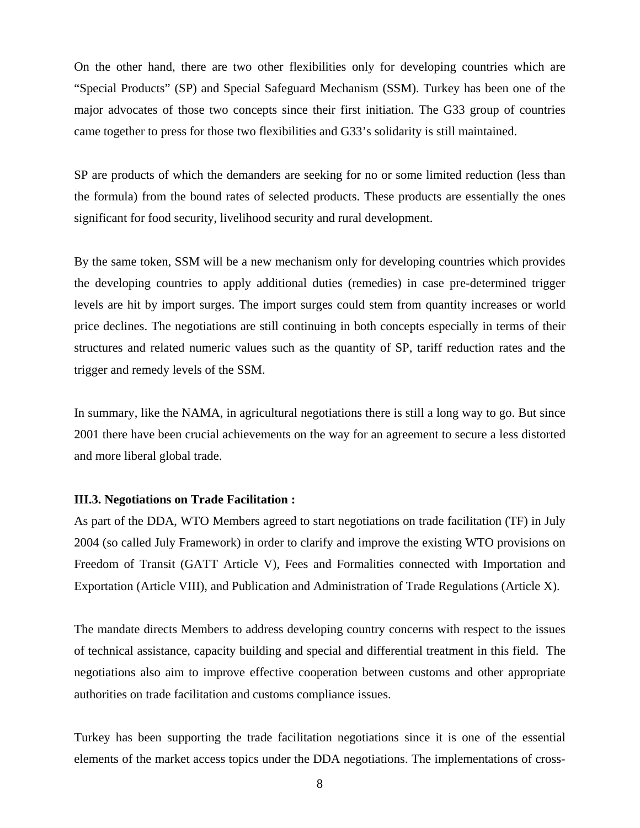On the other hand, there are two other flexibilities only for developing countries which are "Special Products" (SP) and Special Safeguard Mechanism (SSM). Turkey has been one of the major advocates of those two concepts since their first initiation. The G33 group of countries came together to press for those two flexibilities and G33's solidarity is still maintained.

SP are products of which the demanders are seeking for no or some limited reduction (less than the formula) from the bound rates of selected products. These products are essentially the ones significant for food security, livelihood security and rural development.

By the same token, SSM will be a new mechanism only for developing countries which provides the developing countries to apply additional duties (remedies) in case pre-determined trigger levels are hit by import surges. The import surges could stem from quantity increases or world price declines. The negotiations are still continuing in both concepts especially in terms of their structures and related numeric values such as the quantity of SP, tariff reduction rates and the trigger and remedy levels of the SSM.

In summary, like the NAMA, in agricultural negotiations there is still a long way to go. But since 2001 there have been crucial achievements on the way for an agreement to secure a less distorted and more liberal global trade.

### **III.3. Negotiations on Trade Facilitation :**

As part of the DDA, WTO Members agreed to start [negotiations on trade facilitation](http://trade.ec.europa.eu/doclib/html/119048.htm) (TF) in July 2004 (so called July Framework) in order to clarify and improve the existing WTO provisions on Freedom of Transit (GATT Article V), Fees and Formalities connected with Importation and Exportation (Article VIII), and Publication and Administration of Trade Regulations (Article X).

The mandate directs Members to address developing country concerns with respect to the issues of technical assistance, capacity building and special and differential treatment in this field. The negotiations also aim to improve effective cooperation between customs and other appropriate authorities on trade facilitation and customs compliance issues.

Turkey has been supporting the trade facilitation negotiations since it is one of the essential elements of the market access topics under the DDA negotiations. The implementations of cross-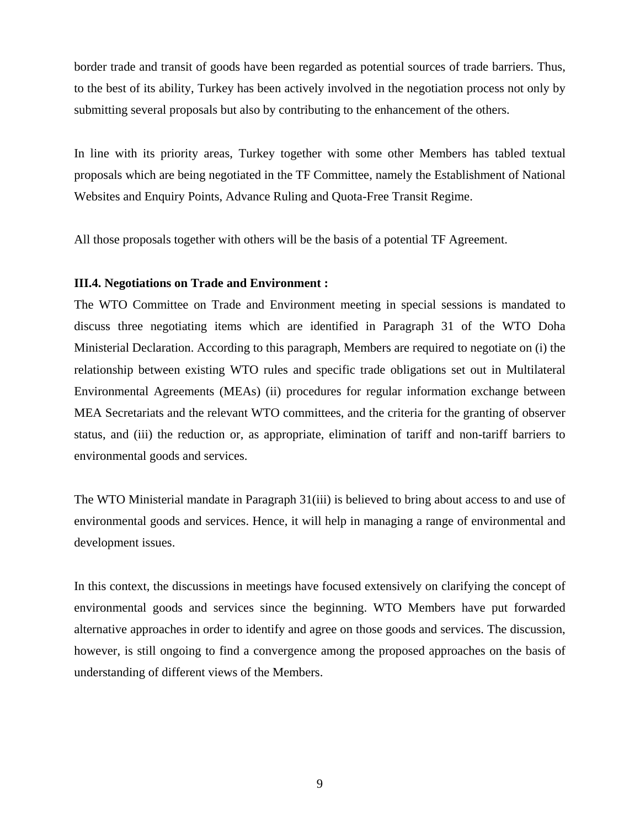border trade and transit of goods have been regarded as potential sources of trade barriers. Thus, to the best of its ability, Turkey has been actively involved in the negotiation process not only by submitting several proposals but also by contributing to the enhancement of the others.

In line with its priority areas, Turkey together with some other Members has tabled textual proposals which are being negotiated in the TF Committee, namely the Establishment of National Websites and Enquiry Points, Advance Ruling and Quota-Free Transit Regime.

All those proposals together with others will be the basis of a potential TF Agreement.

### **III.4. Negotiations on Trade and Environment :**

The WTO Committee on Trade and Environment meeting in special sessions is mandated to discuss three negotiating items which are identified in Paragraph 31 of the WTO Doha Ministerial Declaration. According to this paragraph, Members are required to negotiate on (i) the relationship between existing WTO rules and specific trade obligations set out in Multilateral Environmental Agreements (MEAs) (ii) procedures for regular information exchange between MEA Secretariats and the relevant WTO committees, and the criteria for the granting of observer status, and (iii) the reduction or, as appropriate, elimination of tariff and non-tariff barriers to environmental goods and services.

The WTO Ministerial mandate in Paragraph 31(iii) is believed to bring about access to and use of environmental goods and services. Hence, it will help in managing a range of environmental and development issues.

In this context, the discussions in meetings have focused extensively on clarifying the concept of environmental goods and services since the beginning. WTO Members have put forwarded alternative approaches in order to identify and agree on those goods and services. The discussion, however, is still ongoing to find a convergence among the proposed approaches on the basis of understanding of different views of the Members.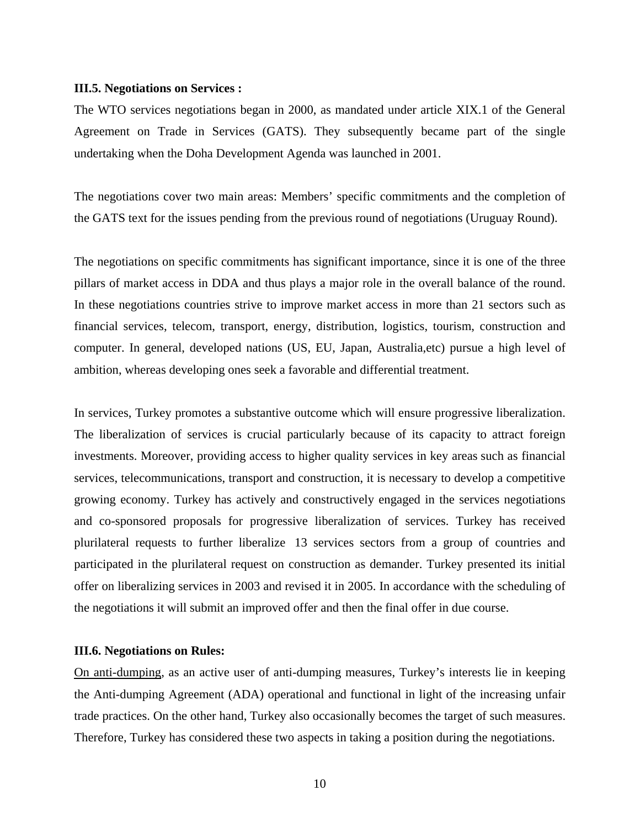#### **III.5. Negotiations on Services :**

The WTO services negotiations began in 2000, as mandated under article XIX.1 of the General Agreement on Trade in Services (GATS). They subsequently became part of the single undertaking when the Doha Development Agenda was launched in 2001.

The negotiations cover two main areas: Members' specific commitments and the completion of the GATS text for the issues pending from the previous round of negotiations (Uruguay Round).

The negotiations on specific commitments has significant importance, since it is one of the three pillars of market access in DDA and thus plays a major role in the overall balance of the round. In these negotiations countries strive to improve market access in more than 21 sectors such as financial services, telecom, transport, energy, distribution, logistics, tourism, construction and computer. In general, developed nations (US, EU, Japan, Australia,etc) pursue a high level of ambition, whereas developing ones seek a favorable and differential treatment.

In services, Turkey promotes a substantive outcome which will ensure progressive liberalization. The liberalization of services is crucial particularly because of its capacity to attract foreign investments. Moreover, providing access to higher quality services in key areas such as financial services, telecommunications, transport and construction, it is necessary to develop a competitive growing economy. Turkey has actively and constructively engaged in the services negotiations and co-sponsored proposals for progressive liberalization of services. Turkey has received plurilateral requests to further liberalize 13 services sectors from a group of countries and participated in the plurilateral request on construction as demander. Turkey presented its initial offer on liberalizing services in 2003 and revised it in 2005. In accordance with the scheduling of the negotiations it will submit an improved offer and then the final offer in due course.

### **III.6. Negotiations on Rules:**

On anti-dumping, as an active user of anti-dumping measures, Turkey's interests lie in keeping the Anti-dumping Agreement (ADA) operational and functional in light of the increasing unfair trade practices. On the other hand, Turkey also occasionally becomes the target of such measures. Therefore, Turkey has considered these two aspects in taking a position during the negotiations.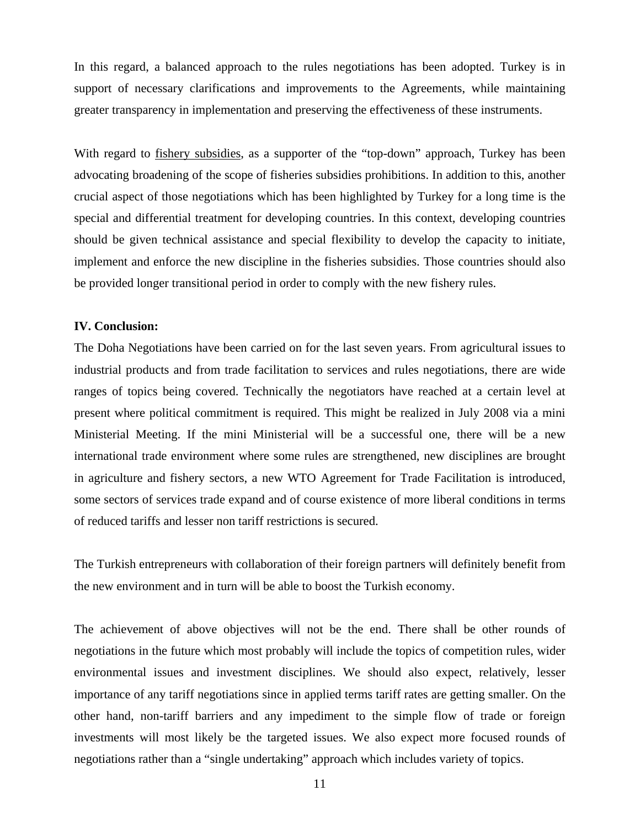In this regard, a balanced approach to the rules negotiations has been adopted. Turkey is in support of necessary clarifications and improvements to the Agreements, while maintaining greater transparency in implementation and preserving the effectiveness of these instruments.

With regard to *fishery subsidies*, as a supporter of the "top-down" approach, Turkey has been advocating broadening of the scope of fisheries subsidies prohibitions. In addition to this, another crucial aspect of those negotiations which has been highlighted by Turkey for a long time is the special and differential treatment for developing countries. In this context, developing countries should be given technical assistance and special flexibility to develop the capacity to initiate, implement and enforce the new discipline in the fisheries subsidies. Those countries should also be provided longer transitional period in order to comply with the new fishery rules.

## **IV. Conclusion:**

The Doha Negotiations have been carried on for the last seven years. From agricultural issues to industrial products and from trade facilitation to services and rules negotiations, there are wide ranges of topics being covered. Technically the negotiators have reached at a certain level at present where political commitment is required. This might be realized in July 2008 via a mini Ministerial Meeting. If the mini Ministerial will be a successful one, there will be a new international trade environment where some rules are strengthened, new disciplines are brought in agriculture and fishery sectors, a new WTO Agreement for Trade Facilitation is introduced, some sectors of services trade expand and of course existence of more liberal conditions in terms of reduced tariffs and lesser non tariff restrictions is secured.

The Turkish entrepreneurs with collaboration of their foreign partners will definitely benefit from the new environment and in turn will be able to boost the Turkish economy.

The achievement of above objectives will not be the end. There shall be other rounds of negotiations in the future which most probably will include the topics of competition rules, wider environmental issues and investment disciplines. We should also expect, relatively, lesser importance of any tariff negotiations since in applied terms tariff rates are getting smaller. On the other hand, non-tariff barriers and any impediment to the simple flow of trade or foreign investments will most likely be the targeted issues. We also expect more focused rounds of negotiations rather than a "single undertaking" approach which includes variety of topics.